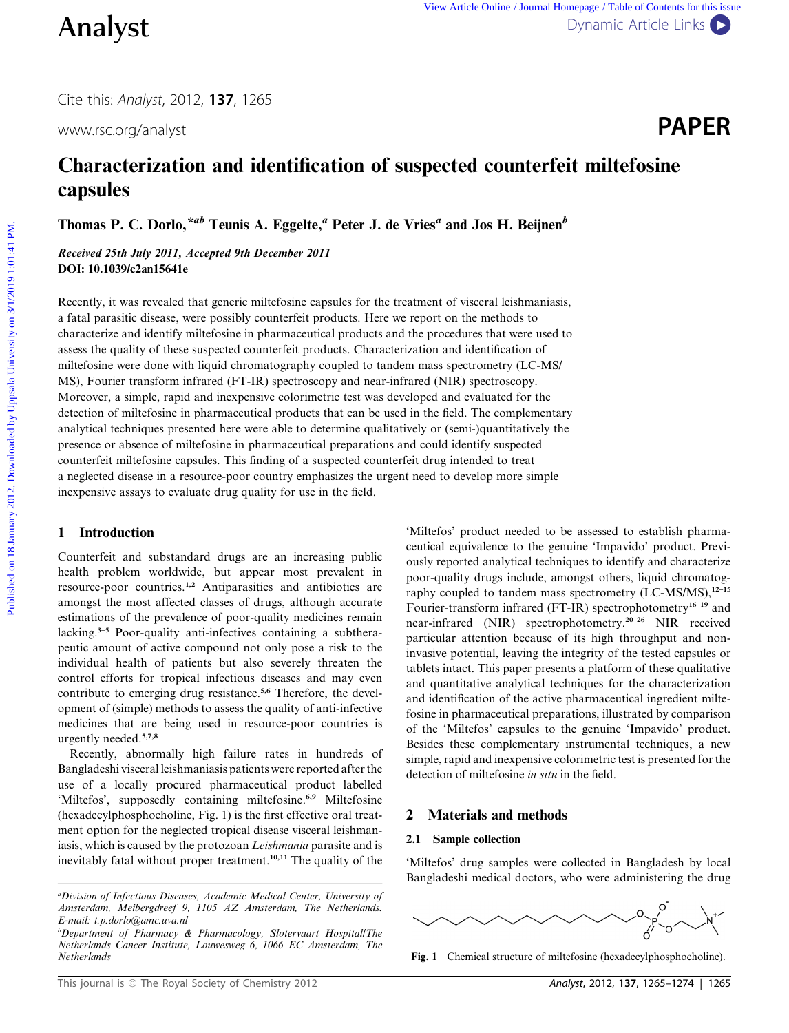Cite this: Analyst, 2012, 137, 1265



# Characterization and identification of suspected counterfeit miltefosine capsules

Thomas P. C. Dorlo,<sup>\*ab</sup> Teunis A. Eggelte,<sup>a</sup> Peter J. de Vries<sup>a</sup> and Jos H. Beijnen<sup>b</sup>

Received 25th July 2011, Accepted 9th December 2011 DOI: 10.1039/c2an15641e

Recently, it was revealed that generic miltefosine capsules for the treatment of visceral leishmaniasis, a fatal parasitic disease, were possibly counterfeit products. Here we report on the methods to characterize and identify miltefosine in pharmaceutical products and the procedures that were used to assess the quality of these suspected counterfeit products. Characterization and identification of miltefosine were done with liquid chromatography coupled to tandem mass spectrometry (LC-MS/ MS), Fourier transform infrared (FT-IR) spectroscopy and near-infrared (NIR) spectroscopy. Moreover, a simple, rapid and inexpensive colorimetric test was developed and evaluated for the detection of miltefosine in pharmaceutical products that can be used in the field. The complementary analytical techniques presented here were able to determine qualitatively or (semi-)quantitatively the presence or absence of miltefosine in pharmaceutical preparations and could identify suspected counterfeit miltefosine capsules. This finding of a suspected counterfeit drug intended to treat a neglected disease in a resource-poor country emphasizes the urgent need to develop more simple inexpensive assays to evaluate drug quality for use in the field. **Published on 18 Analystic Contents for 18 January 2012.** The contents of the Uppsala University of the Uppsala University of the Uppsala University of the Uppsala University of the Uppsala University of Contents of Conte

# 1 Introduction

Counterfeit and substandard drugs are an increasing public health problem worldwide, but appear most prevalent in resource-poor countries.1,2 Antiparasitics and antibiotics are amongst the most affected classes of drugs, although accurate estimations of the prevalence of poor-quality medicines remain lacking.<sup>3–5</sup> Poor-quality anti-infectives containing a subtherapeutic amount of active compound not only pose a risk to the individual health of patients but also severely threaten the control efforts for tropical infectious diseases and may even contribute to emerging drug resistance.<sup>5,6</sup> Therefore, the development of (simple) methods to assess the quality of anti-infective medicines that are being used in resource-poor countries is urgently needed.5,7,8

Recently, abnormally high failure rates in hundreds of Bangladeshi visceral leishmaniasis patients were reported after the use of a locally procured pharmaceutical product labelled 'Miltefos', supposedly containing miltefosine.<sup>6,9</sup> Miltefosine (hexadecylphosphocholine, Fig. 1) is the first effective oral treatment option for the neglected tropical disease visceral leishmaniasis, which is caused by the protozoan Leishmania parasite and is inevitably fatal without proper treatment.10,11 The quality of the

'Miltefos' product needed to be assessed to establish pharmaceutical equivalence to the genuine 'Impavido' product. Previously reported analytical techniques to identify and characterize poor-quality drugs include, amongst others, liquid chromatography coupled to tandem mass spectrometry  $(LC-MS/MS)$ ,  $^{12-15}$ Fourier-transform infrared (FT-IR) spectrophotometry<sup>16-19</sup> and near-infrared (NIR) spectrophotometry.20–26 NIR received particular attention because of its high throughput and noninvasive potential, leaving the integrity of the tested capsules or tablets intact. This paper presents a platform of these qualitative and quantitative analytical techniques for the characterization and identification of the active pharmaceutical ingredient miltefosine in pharmaceutical preparations, illustrated by comparison of the 'Miltefos' capsules to the genuine 'Impavido' product. Besides these complementary instrumental techniques, a new simple, rapid and inexpensive colorimetric test is presented for the detection of miltefosine in situ in the field.

# 2 Materials and methods

### 2.1 Sample collection

'Miltefos' drug samples were collected in Bangladesh by local Bangladeshi medical doctors, who were administering the drug



Fig. 1 Chemical structure of miltefosine (hexadecylphosphocholine).

<sup>&</sup>lt;sup>a</sup>Division of Infectious Diseases, Academic Medical Center, University of Amsterdam, Meibergdreef 9, 1105 AZ Amsterdam, The Netherlands. E-mail: t.p.dorlo@amc.uva.nl

b Department of Pharmacy & Pharmacology, Slotervaart Hospital/The Netherlands Cancer Institute, Louwesweg 6, 1066 EC Amsterdam, The **Netherlands**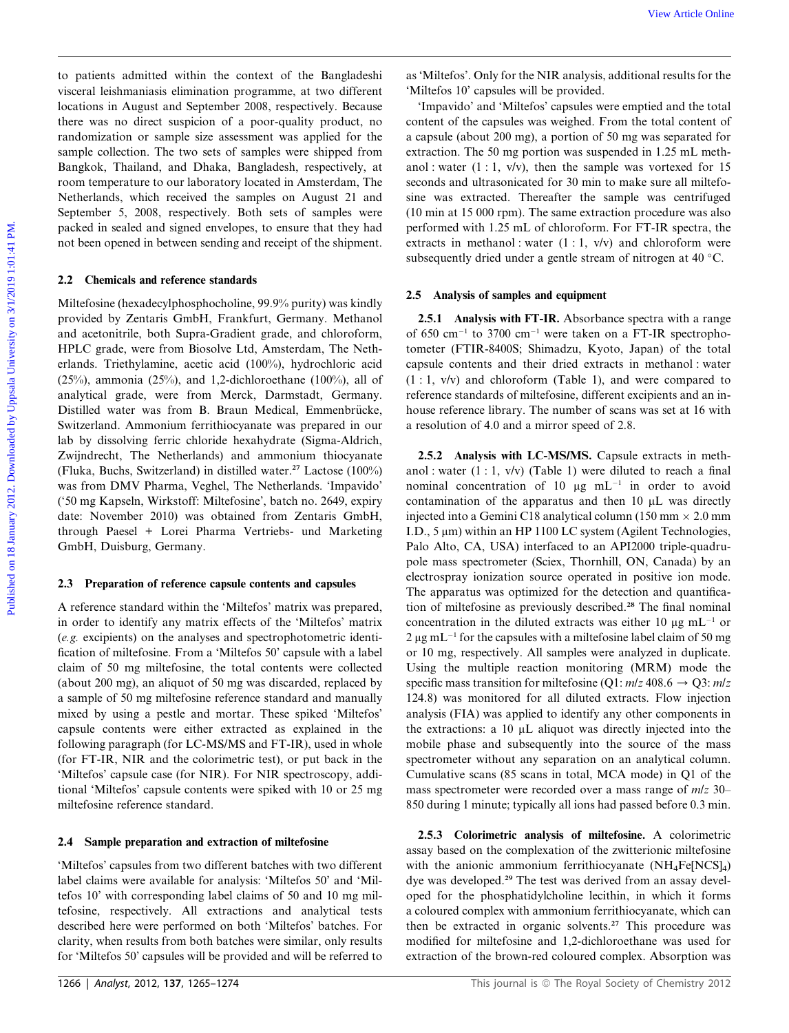to patients admitted within the context of the Bangladeshi visceral leishmaniasis elimination programme, at two different locations in August and September 2008, respectively. Because there was no direct suspicion of a poor-quality product, no randomization or sample size assessment was applied for the sample collection. The two sets of samples were shipped from Bangkok, Thailand, and Dhaka, Bangladesh, respectively, at room temperature to our laboratory located in Amsterdam, The Netherlands, which received the samples on August 21 and September 5, 2008, respectively. Both sets of samples were packed in sealed and signed envelopes, to ensure that they had not been opened in between sending and receipt of the shipment.

### 2.2 Chemicals and reference standards

Miltefosine (hexadecylphosphocholine, 99.9% purity) was kindly provided by Zentaris GmbH, Frankfurt, Germany. Methanol and acetonitrile, both Supra-Gradient grade, and chloroform, HPLC grade, were from Biosolve Ltd, Amsterdam, The Netherlands. Triethylamine, acetic acid (100%), hydrochloric acid (25%), ammonia (25%), and 1,2-dichloroethane (100%), all of analytical grade, were from Merck, Darmstadt, Germany. Distilled water was from B. Braun Medical, Emmenbrücke, Switzerland. Ammonium ferrithiocyanate was prepared in our lab by dissolving ferric chloride hexahydrate (Sigma-Aldrich, Zwijndrecht, The Netherlands) and ammonium thiocyanate (Fluka, Buchs, Switzerland) in distilled water.<sup>27</sup> Lactose (100%) was from DMV Pharma, Veghel, The Netherlands. 'Impavido' ('50 mg Kapseln, Wirkstoff: Miltefosine', batch no. 2649, expiry date: November 2010) was obtained from Zentaris GmbH, through Paesel + Lorei Pharma Vertriebs- und Marketing GmbH, Duisburg, Germany. For partiests admired on this the context of the Banghadeshi as Miterio. Only for the NR analysis, additional results for Particle in Machambash chiadramic and the Day are controlled by provided by the particle of the con

#### 2.3 Preparation of reference capsule contents and capsules

A reference standard within the 'Miltefos' matrix was prepared, in order to identify any matrix effects of the 'Miltefos' matrix (e.g. excipients) on the analyses and spectrophotometric identification of miltefosine. From a 'Miltefos 50' capsule with a label claim of 50 mg miltefosine, the total contents were collected (about 200 mg), an aliquot of 50 mg was discarded, replaced by a sample of 50 mg miltefosine reference standard and manually mixed by using a pestle and mortar. These spiked 'Miltefos' capsule contents were either extracted as explained in the following paragraph (for LC-MS/MS and FT-IR), used in whole (for FT-IR, NIR and the colorimetric test), or put back in the 'Miltefos' capsule case (for NIR). For NIR spectroscopy, additional 'Miltefos' capsule contents were spiked with 10 or 25 mg miltefosine reference standard.

### 2.4 Sample preparation and extraction of miltefosine

'Miltefos' capsules from two different batches with two different label claims were available for analysis: 'Miltefos 50' and 'Miltefos 10' with corresponding label claims of 50 and 10 mg miltefosine, respectively. All extractions and analytical tests described here were performed on both 'Miltefos' batches. For clarity, when results from both batches were similar, only results for 'Miltefos 50' capsules will be provided and will be referred to

'Impavido' and 'Miltefos' capsules were emptied and the total content of the capsules was weighed. From the total content of a capsule (about 200 mg), a portion of 50 mg was separated for extraction. The 50 mg portion was suspended in 1.25 mL methanol : water  $(1:1, v/v)$ , then the sample was vortexed for 15 seconds and ultrasonicated for 30 min to make sure all miltefosine was extracted. Thereafter the sample was centrifuged (10 min at 15 000 rpm). The same extraction procedure was also performed with 1.25 mL of chloroform. For FT-IR spectra, the extracts in methanol : water  $(1:1, v/v)$  and chloroform were subsequently dried under a gentle stream of nitrogen at 40 °C.

### 2.5 Analysis of samples and equipment

2.5.1 Analysis with FT-IR. Absorbance spectra with a range of 650 cm<sup>-1</sup> to 3700 cm<sup>-1</sup> were taken on a FT-IR spectrophotometer (FTIR-8400S; Shimadzu, Kyoto, Japan) of the total capsule contents and their dried extracts in methanol : water (1 : 1, v/v) and chloroform (Table 1), and were compared to reference standards of miltefosine, different excipients and an inhouse reference library. The number of scans was set at 16 with a resolution of 4.0 and a mirror speed of 2.8.

2.5.2 Analysis with LC-MS/MS. Capsule extracts in methanol : water  $(1:1, v/v)$  (Table 1) were diluted to reach a final nominal concentration of 10  $\mu$ g mL<sup>-1</sup> in order to avoid contamination of the apparatus and then  $10 \mu L$  was directly injected into a Gemini C18 analytical column (150 mm  $\times$  2.0 mm I.D.,  $5 \mu m$ ) within an HP 1100 LC system (Agilent Technologies, Palo Alto, CA, USA) interfaced to an API2000 triple-quadrupole mass spectrometer (Sciex, Thornhill, ON, Canada) by an electrospray ionization source operated in positive ion mode. The apparatus was optimized for the detection and quantification of miltefosine as previously described.<sup>28</sup> The final nominal concentration in the diluted extracts was either 10  $\mu$ g mL<sup>-1</sup> or  $2 \mu g$  mL<sup>-1</sup> for the capsules with a miltefosine label claim of 50 mg or 10 mg, respectively. All samples were analyzed in duplicate. Using the multiple reaction monitoring (MRM) mode the specific mass transition for miltefosine (Q1:  $m/z$  408.6  $\rightarrow$  Q3:  $m/z$ 124.8) was monitored for all diluted extracts. Flow injection analysis (FIA) was applied to identify any other components in the extractions: a  $10 \mu L$  aliquot was directly injected into the mobile phase and subsequently into the source of the mass spectrometer without any separation on an analytical column. Cumulative scans (85 scans in total, MCA mode) in Q1 of the mass spectrometer were recorded over a mass range of m/z 30– 850 during 1 minute; typically all ions had passed before 0.3 min.

2.5.3 Colorimetric analysis of miltefosine. A colorimetric assay based on the complexation of the zwitterionic miltefosine with the anionic ammonium ferrithiocyanate  $(NH_4Fe[NCS]_4)$ dye was developed.<sup>29</sup> The test was derived from an assay developed for the phosphatidylcholine lecithin, in which it forms a coloured complex with ammonium ferrithiocyanate, which can then be extracted in organic solvents.<sup>27</sup> This procedure was modified for miltefosine and 1,2-dichloroethane was used for extraction of the brown-red coloured complex. Absorption was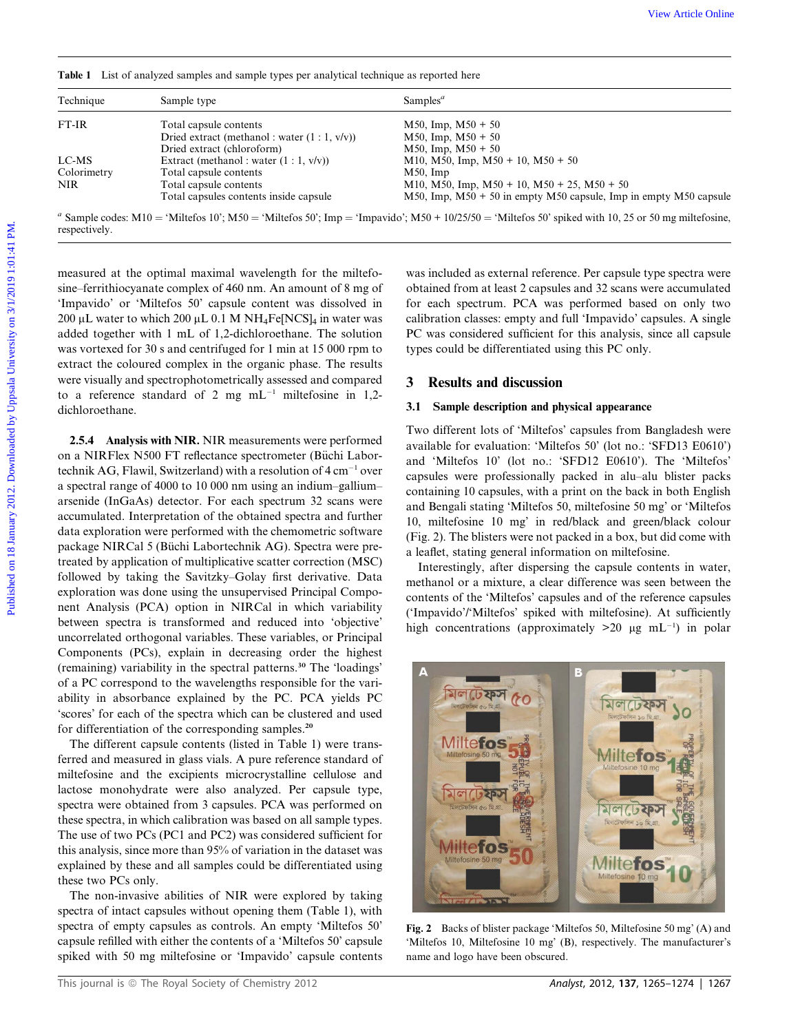Table 1 List of analyzed samples and sample types per analytical technique as reported here

| Technique                                                                                                                                                                                                                                                                                                                                                                                                                                                                                                                                                    | Table 1 List of analyzed samples and sample types per analytical technique as reported here<br>Sample type | Samples <sup><math>a</math></sup>                                                                                                                                                                                                                     |
|--------------------------------------------------------------------------------------------------------------------------------------------------------------------------------------------------------------------------------------------------------------------------------------------------------------------------------------------------------------------------------------------------------------------------------------------------------------------------------------------------------------------------------------------------------------|------------------------------------------------------------------------------------------------------------|-------------------------------------------------------------------------------------------------------------------------------------------------------------------------------------------------------------------------------------------------------|
| FT-IR                                                                                                                                                                                                                                                                                                                                                                                                                                                                                                                                                        | Total capsule contents                                                                                     | $M50$ , Imp, $M50 + 50$                                                                                                                                                                                                                               |
|                                                                                                                                                                                                                                                                                                                                                                                                                                                                                                                                                              | Dried extract (methanol: water $(1:1, v/v)$ )                                                              | $M50$ , Imp, $M50 + 50$                                                                                                                                                                                                                               |
|                                                                                                                                                                                                                                                                                                                                                                                                                                                                                                                                                              | Dried extract (chloroform)                                                                                 | $M50$ , Imp, $M50 + 50$                                                                                                                                                                                                                               |
| LC-MS<br>Colorimetry                                                                                                                                                                                                                                                                                                                                                                                                                                                                                                                                         | Extract (methanol: water $(1:1, v/v)$ )<br>Total capsule contents                                          | M10, M50, Imp, M50 + 10, M50 + 50<br>$M50$ , Imp                                                                                                                                                                                                      |
| <b>NIR</b>                                                                                                                                                                                                                                                                                                                                                                                                                                                                                                                                                   | Total capsule contents                                                                                     | M10, M50, Imp, M50 + 10, M50 + 25, M50 + 50                                                                                                                                                                                                           |
|                                                                                                                                                                                                                                                                                                                                                                                                                                                                                                                                                              | Total capsules contents inside capsule                                                                     | $M50$ , Imp, $M50 + 50$ in empty M50 capsule, Imp in empty M50 capsule                                                                                                                                                                                |
| respectively.                                                                                                                                                                                                                                                                                                                                                                                                                                                                                                                                                |                                                                                                            | <sup>a</sup> Sample codes: M10 = 'Miltefos 10'; M50 = 'Miltefos 50'; Imp = 'Impavido'; M50 + 10/25/50 = 'Miltefos 50' spiked with 10, 25 or 50 mg miltefosine,                                                                                        |
| measured at the optimal maximal wavelength for the miltefo-<br>sine-ferrithiocyanate complex of 460 nm. An amount of 8 mg of<br>'Impavido' or 'Miltefos 50' capsule content was dissolved in<br>200 µL water to which 200 µL 0.1 M NH <sub>4</sub> Fe[NCS] <sub>4</sub> in water was<br>added together with 1 mL of 1,2-dichloroethane. The solution<br>was vortexed for 30 s and centrifuged for 1 min at 15 000 rpm to<br>extract the coloured complex in the organic phase. The results<br>were visually and spectrophotometrically assessed and compared |                                                                                                            | was included as external reference. Per capsule type spectra were<br>obtained from at least 2 capsules and 32 scans were accumulated                                                                                                                  |
|                                                                                                                                                                                                                                                                                                                                                                                                                                                                                                                                                              |                                                                                                            | for each spectrum. PCA was performed based on only two<br>calibration classes: empty and full 'Impavido' capsules. A single<br>PC was considered sufficient for this analysis, since all capsule<br>types could be differentiated using this PC only. |
|                                                                                                                                                                                                                                                                                                                                                                                                                                                                                                                                                              | to a reference standard of 2 mg $mL^{-1}$ miltefosine in 1,2-                                              | <b>Results and discussion</b><br>3                                                                                                                                                                                                                    |
| dichloroethane.                                                                                                                                                                                                                                                                                                                                                                                                                                                                                                                                              |                                                                                                            | 3.1 Sample description and physical appearance                                                                                                                                                                                                        |

2.5.4 Analysis with NIR. NIR measurements were performed on a NIRFlex N500 FT reflectance spectrometer (Büchi Labortechnik AG, Flawil, Switzerland) with a resolution of  $4 \text{ cm}^{-1}$  over a spectral range of 4000 to 10 000 nm using an indium–gallium– arsenide (InGaAs) detector. For each spectrum 32 scans were accumulated. Interpretation of the obtained spectra and further data exploration were performed with the chemometric software package NIRCal 5 (Büchi Labortechnik AG). Spectra were pretreated by application of multiplicative scatter correction (MSC) followed by taking the Savitzky–Golay first derivative. Data exploration was done using the unsupervised Principal Component Analysis (PCA) option in NIRCal in which variability between spectra is transformed and reduced into 'objective' uncorrelated orthogonal variables. These variables, or Principal Components (PCs), explain in decreasing order the highest (remaining) variability in the spectral patterns.<sup>30</sup> The 'loadings' of a PC correspond to the wavelengths responsible for the variability in absorbance explained by the PC. PCA yields PC 'scores' for each of the spectra which can be clustered and used for differentiation of the corresponding samples.<sup>20</sup>

The different capsule contents (listed in Table 1) were transferred and measured in glass vials. A pure reference standard of miltefosine and the excipients microcrystalline cellulose and lactose monohydrate were also analyzed. Per capsule type, spectra were obtained from 3 capsules. PCA was performed on these spectra, in which calibration was based on all sample types. The use of two PCs (PC1 and PC2) was considered sufficient for this analysis, since more than 95% of variation in the dataset was explained by these and all samples could be differentiated using these two PCs only.

The non-invasive abilities of NIR were explored by taking spectra of intact capsules without opening them (Table 1), with spectra of empty capsules as controls. An empty 'Miltefos 50' capsule refilled with either the contents of a 'Miltefos 50' capsule spiked with 50 mg miltefosine or 'Impavido' capsule contents

# 3 Results and discussion

### 3.1 Sample description and physical appearance

Interestingly, after dispersing the capsule contents in water, methanol or a mixture, a clear difference was seen between the contents of the 'Miltefos' capsules and of the reference capsules ('Impavido'/'Miltefos' spiked with miltefosine). At sufficiently high concentrations (approximately  $>20$  µg mL<sup>-1</sup>) in polar



Fig. 2 Backs of blister package 'Miltefos 50, Miltefosine 50 mg' (A) and 'Miltefos 10, Miltefosine 10 mg' (B), respectively. The manufacturer's name and logo have been obscured.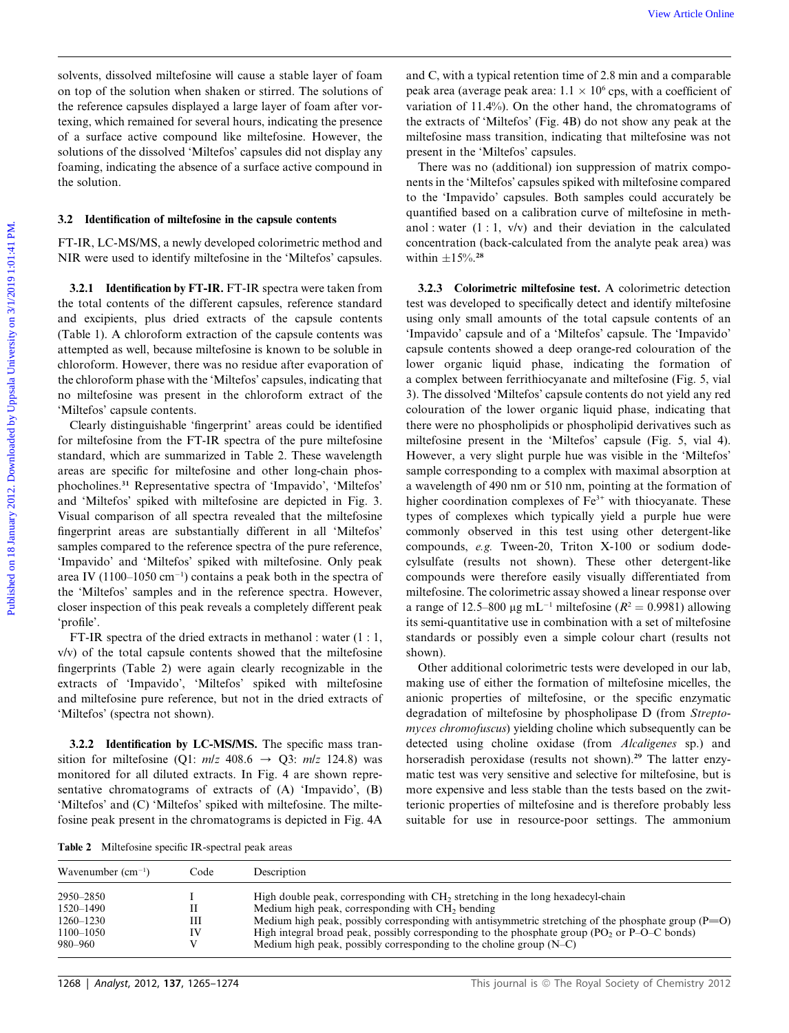solvents, dissolved miltefosine will cause a stable layer of foam on top of the solution when shaken or stirred. The solutions of the reference capsules displayed a large layer of foam after vortexing, which remained for several hours, indicating the presence of a surface active compound like miltefosine. However, the solutions of the dissolved 'Miltefos' capsules did not display any foaming, indicating the absence of a surface active compound in the solution.

### 3.2 Identification of miltefosine in the capsule contents

FT-IR, LC-MS/MS, a newly developed colorimetric method and NIR were used to identify miltefosine in the 'Miltefos' capsules.

3.2.1 Identification by FT-IR. FT-IR spectra were taken from the total contents of the different capsules, reference standard and excipients, plus dried extracts of the capsule contents (Table 1). A chloroform extraction of the capsule contents was attempted as well, because miltefosine is known to be soluble in chloroform. However, there was no residue after evaporation of the chloroform phase with the 'Miltefos' capsules, indicating that no miltefosine was present in the chloroform extract of the 'Miltefos' capsule contents.

Clearly distinguishable 'fingerprint' areas could be identified for miltefosine from the FT-IR spectra of the pure miltefosine standard, which are summarized in Table 2. These wavelength areas are specific for miltefosine and other long-chain phosphocholines.<sup>31</sup> Representative spectra of 'Impavido', 'Miltefos' and 'Miltefos' spiked with miltefosine are depicted in Fig. 3. Visual comparison of all spectra revealed that the miltefosine fingerprint areas are substantially different in all 'Miltefos' samples compared to the reference spectra of the pure reference, 'Impavido' and 'Miltefos' spiked with miltefosine. Only peak area IV (1100–1050 cm $^{-1}$ ) contains a peak both in the spectra of the 'Miltefos' samples and in the reference spectra. However, closer inspection of this peak reveals a completely different peak 'profile'.

FT-IR spectra of the dried extracts in methanol : water (1 : 1, v/v) of the total capsule contents showed that the miltefosine fingerprints (Table 2) were again clearly recognizable in the extracts of 'Impavido', 'Miltefos' spiked with miltefosine and miltefosine pure reference, but not in the dried extracts of 'Miltefos' (spectra not shown).

3.2.2 Identification by LC-MS/MS. The specific mass transition for miltefosine (Q1:  $m/z$  408.6  $\rightarrow$  Q3:  $m/z$  124.8) was monitored for all diluted extracts. In Fig. 4 are shown representative chromatograms of extracts of (A) 'Impavido', (B) 'Miltefos' and (C) 'Miltefos' spiked with miltefosine. The miltefosine peak present in the chromatograms is depicted in Fig. 4A

and C, with a typical retention time of 2.8 min and a comparable peak area (average peak area:  $1.1 \times 10^6$  cps, with a coefficient of variation of 11.4%). On the other hand, the chromatograms of the extracts of 'Miltefos' (Fig. 4B) do not show any peak at the miltefosine mass transition, indicating that miltefosine was not present in the 'Miltefos' capsules.

There was no (additional) ion suppression of matrix components in the 'Miltefos' capsules spiked with miltefosine compared to the 'Impavido' capsules. Both samples could accurately be quantified based on a calibration curve of miltefosine in methanol : water  $(1:1, v/v)$  and their deviation in the calculated concentration (back-calculated from the analyte peak area) was within  $\pm 15\%$ .<sup>28</sup>

3.2.3 Colorimetric miltefosine test. A colorimetric detection test was developed to specifically detect and identify miltefosine using only small amounts of the total capsule contents of an 'Impavido' capsule and of a 'Miltefos' capsule. The 'Impavido' capsule contents showed a deep orange-red colouration of the lower organic liquid phase, indicating the formation of a complex between ferrithiocyanate and miltefosine (Fig. 5, vial 3). The dissolved 'Miltefos' capsule contents do not yield any red colouration of the lower organic liquid phase, indicating that there were no phospholipids or phospholipid derivatives such as miltefosine present in the 'Miltefos' capsule (Fig. 5, vial 4). However, a very slight purple hue was visible in the 'Miltefos' sample corresponding to a complex with maximal absorption at a wavelength of 490 nm or 510 nm, pointing at the formation of higher coordination complexes of  $Fe<sup>3+</sup>$  with thiocyanate. These types of complexes which typically yield a purple hue were commonly observed in this test using other detergent-like compounds, e.g. Tween-20, Triton X-100 or sodium dodecylsulfate (results not shown). These other detergent-like compounds were therefore easily visually differentiated from miltefosine. The colorimetric assay showed a linear response over a range of 12.5–800  $\mu$ g mL<sup>-1</sup> miltefosine ( $R^2 = 0.9981$ ) allowing its semi-quantitative use in combination with a set of miltefosine standards or possibly even a simple colour chart (results not shown). We account of the control of the speed on the speed on 18 January 2013. The speed on 18 January 2013 is the control of the Subirabush on 18 January 2012. The speed with the speed with the speed by Uppsala University of th

> Other additional colorimetric tests were developed in our lab, making use of either the formation of miltefosine micelles, the anionic properties of miltefosine, or the specific enzymatic degradation of miltefosine by phospholipase D (from Streptomyces chromofuscus) yielding choline which subsequently can be detected using choline oxidase (from Alcaligenes sp.) and horseradish peroxidase (results not shown).<sup>29</sup> The latter enzymatic test was very sensitive and selective for miltefosine, but is more expensive and less stable than the tests based on the zwitterionic properties of miltefosine and is therefore probably less suitable for use in resource-poor settings. The ammonium

Table 2 Miltefosine specific IR-spectral peak areas

| Wavenumber $(cm^{-1})$                                              | Code | Description                                                                                                                                                                                                                                                                                                                                                                                                                                        |
|---------------------------------------------------------------------|------|----------------------------------------------------------------------------------------------------------------------------------------------------------------------------------------------------------------------------------------------------------------------------------------------------------------------------------------------------------------------------------------------------------------------------------------------------|
| 2950–2850<br>1520–1490<br>$1260 - 1230$<br>$1100 - 1050$<br>980–960 | Ш    | High double peak, corresponding with CH <sub>2</sub> stretching in the long hexadecyl-chain<br>Medium high peak, corresponding with CH <sub>2</sub> bending<br>Medium high peak, possibly corresponding with antisymmetric stretching of the phosphate group $(P=0)$<br>High integral broad peak, possibly corresponding to the phosphate group ( $PO2$ or $P-O-C$ bonds)<br>Medium high peak, possibly corresponding to the choline group $(N-C)$ |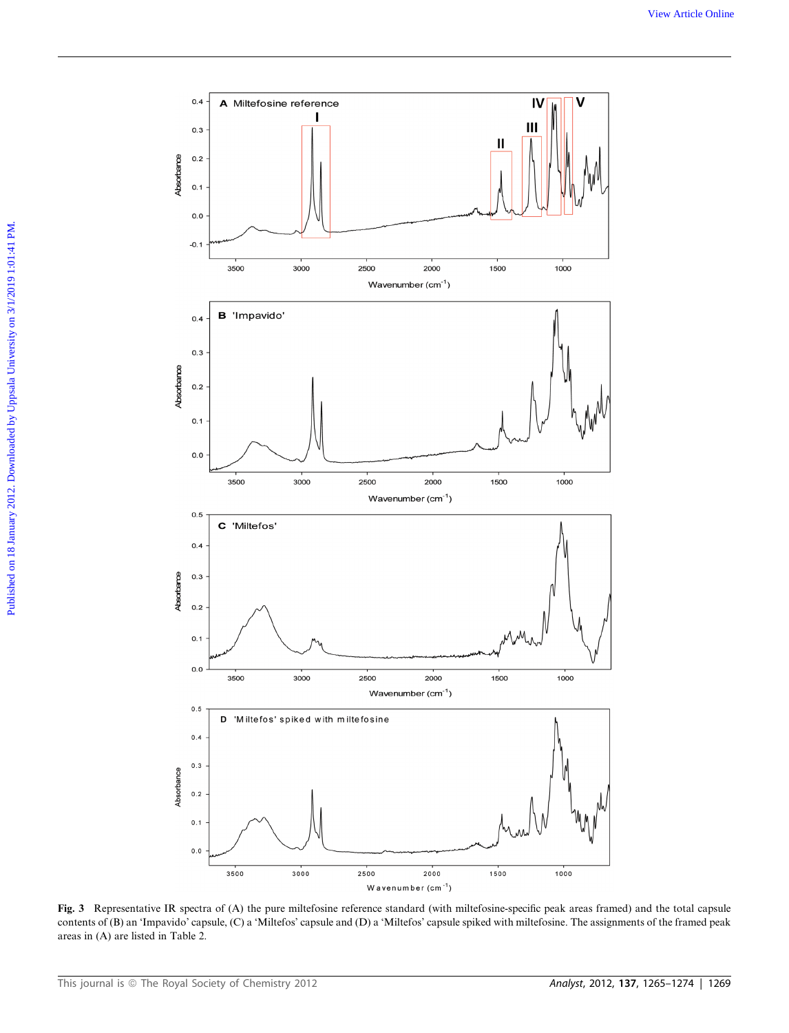

Fig. 3 Representative IR spectra of (A) the pure miltefosine reference standard (with miltefosine-specific peak areas framed) and the total capsule contents of (B) an 'Impavido' capsule, (C) a 'Miltefos' capsule and (D) a 'Miltefos' capsule spiked with miltefosine. The assignments of the framed peak areas in (A) are listed in Table 2.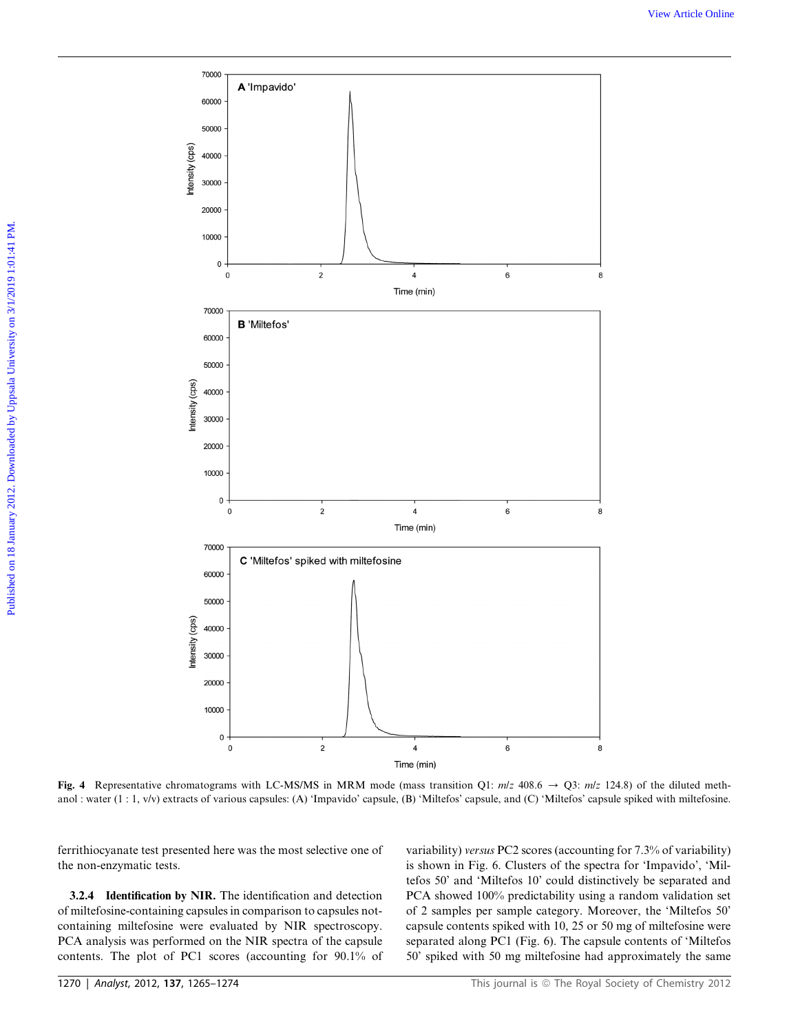

Fig. 4 Representative chromatograms with LC-MS/MS in MRM mode (mass transition O1:  $m/z$  408.6  $\rightarrow$  O3:  $m/z$  124.8) of the diluted methanol : water (1 : 1, v/v) extracts of various capsules: (A) 'Impavido' capsule, (B) 'Miltefos' capsule, and (C) 'Miltefos' capsule spiked with miltefosine.

ferrithiocyanate test presented here was the most selective one of the non-enzymatic tests.

3.2.4 Identification by NIR. The identification and detection of miltefosine-containing capsules in comparison to capsules notcontaining miltefosine were evaluated by NIR spectroscopy. PCA analysis was performed on the NIR spectra of the capsule contents. The plot of PC1 scores (accounting for 90.1% of variability) versus PC2 scores (accounting for 7.3% of variability) is shown in Fig. 6. Clusters of the spectra for 'Impavido', 'Miltefos 50' and 'Miltefos 10' could distinctively be separated and PCA showed 100% predictability using a random validation set of 2 samples per sample category. Moreover, the 'Miltefos 50' capsule contents spiked with 10, 25 or 50 mg of miltefosine were separated along PC1 (Fig. 6). The capsule contents of 'Miltefos 50' spiked with 50 mg miltefosine had approximately the same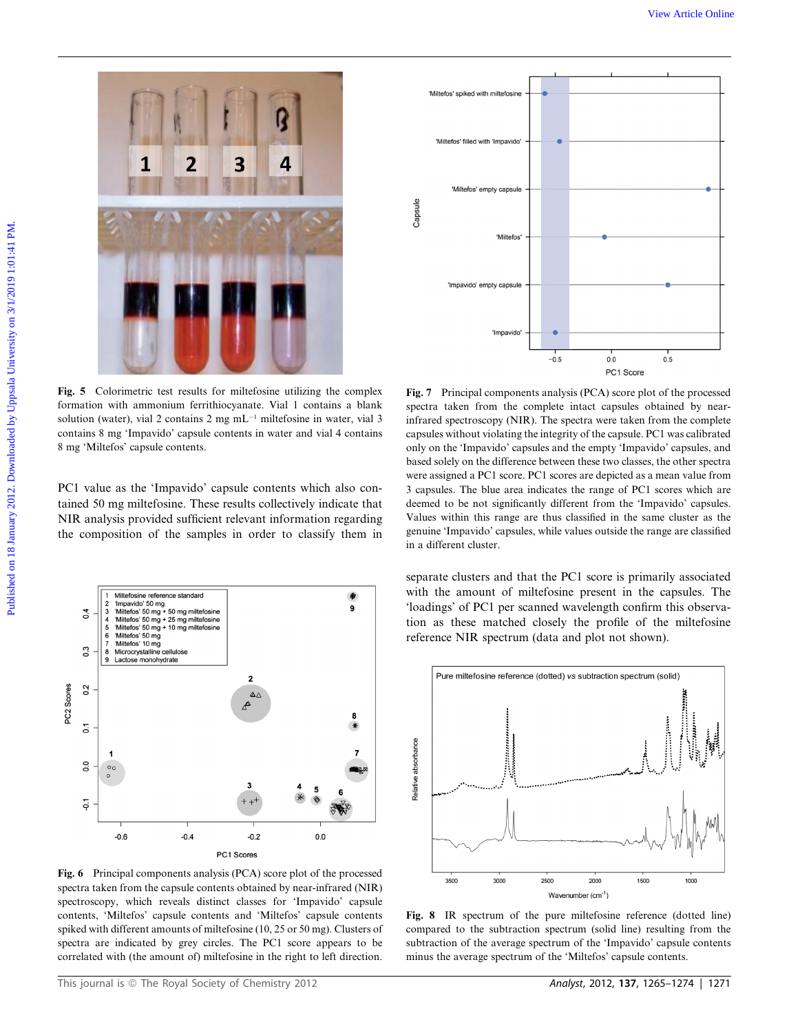

Fig. 5 Colorimetric test results for miltefosine utilizing the complex formation with ammonium ferrithiocyanate. Vial 1 contains a blank solution (water), vial 2 contains 2 mg  $mL^{-1}$  miltefosine in water, vial 3 contains 8 mg 'Impavido' capsule contents in water and vial 4 contains 8 mg 'Miltefos' capsule contents.

PC1 value as the 'Impavido' capsule contents which also contained 50 mg miltefosine. These results collectively indicate that NIR analysis provided sufficient relevant information regarding the composition of the samples in order to classify them in



Fig. 6 Principal components analysis (PCA) score plot of the processed spectra taken from the capsule contents obtained by near-infrared (NIR) spectroscopy, which reveals distinct classes for 'Impavido' capsule contents, 'Miltefos' capsule contents and 'Miltefos' capsule contents spiked with different amounts of miltefosine (10, 25 or 50 mg). Clusters of spectra are indicated by grey circles. The PC1 score appears to be correlated with (the amount of) miltefosine in the right to left direction.



Fig. 7 Principal components analysis (PCA) score plot of the processed spectra taken from the complete intact capsules obtained by nearinfrared spectroscopy (NIR). The spectra were taken from the complete capsules without violating the integrity of the capsule. PC1 was calibrated only on the 'Impavido' capsules and the empty 'Impavido' capsules, and based solely on the difference between these two classes, the other spectra were assigned a PC1 score. PC1 scores are depicted as a mean value from 3 capsules. The blue area indicates the range of PC1 scores which are deemed to be not significantly different from the 'Impavido' capsules. Values within this range are thus classified in the same cluster as the genuine 'Impavido' capsules, while values outside the range are classified in a different cluster.

separate clusters and that the PC1 score is primarily associated with the amount of miltefosine present in the capsules. The 'loadings' of PC1 per scanned wavelength confirm this observation as these matched closely the profile of the miltefosine reference NIR spectrum (data and plot not shown).



Fig. 8 IR spectrum of the pure miltefosine reference (dotted line) compared to the subtraction spectrum (solid line) resulting from the subtraction of the average spectrum of the 'Impavido' capsule contents minus the average spectrum of the 'Miltefos' capsule contents.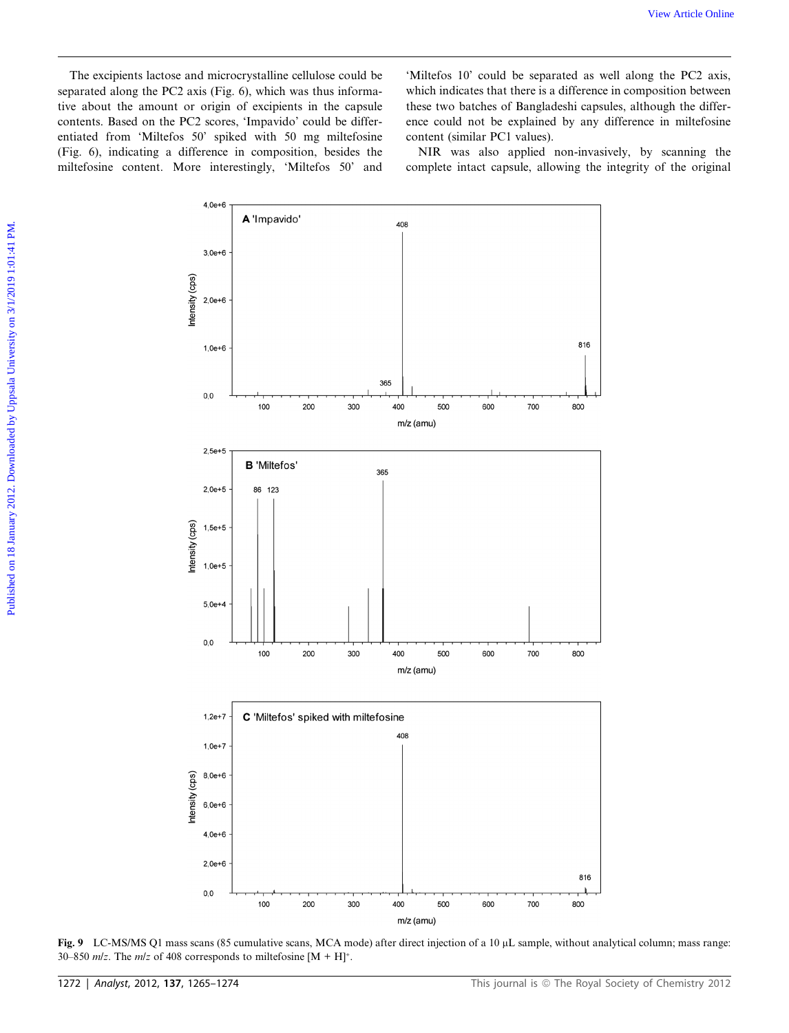The excipients lactose and microcrystalline cellulose could be separated along the PC2 axis (Fig. 6), which was thus informative about the amount or origin of excipients in the capsule contents. Based on the PC2 scores, 'Impavido' could be differentiated from 'Miltefos 50' spiked with 50 mg miltefosine (Fig. 6), indicating a difference in composition, besides the miltefosine content. More interestingly, 'Miltefos 50' and

'Miltefos 10' could be separated as well along the PC2 axis, which indicates that there is a difference in composition between these two batches of Bangladeshi capsules, although the difference could not be explained by any difference in miltefosine content (similar PC1 values).

NIR was also applied non-invasively, by scanning the complete intact capsule, allowing the integrity of the original



Fig. 9 LC-MS/MS Q1 mass scans (85 cumulative scans, MCA mode) after direct injection of a 10 µL sample, without analytical column; mass range: 30–850  $m/z$ . The  $m/z$  of 408 corresponds to miltefosine [M + H]<sup>+</sup>.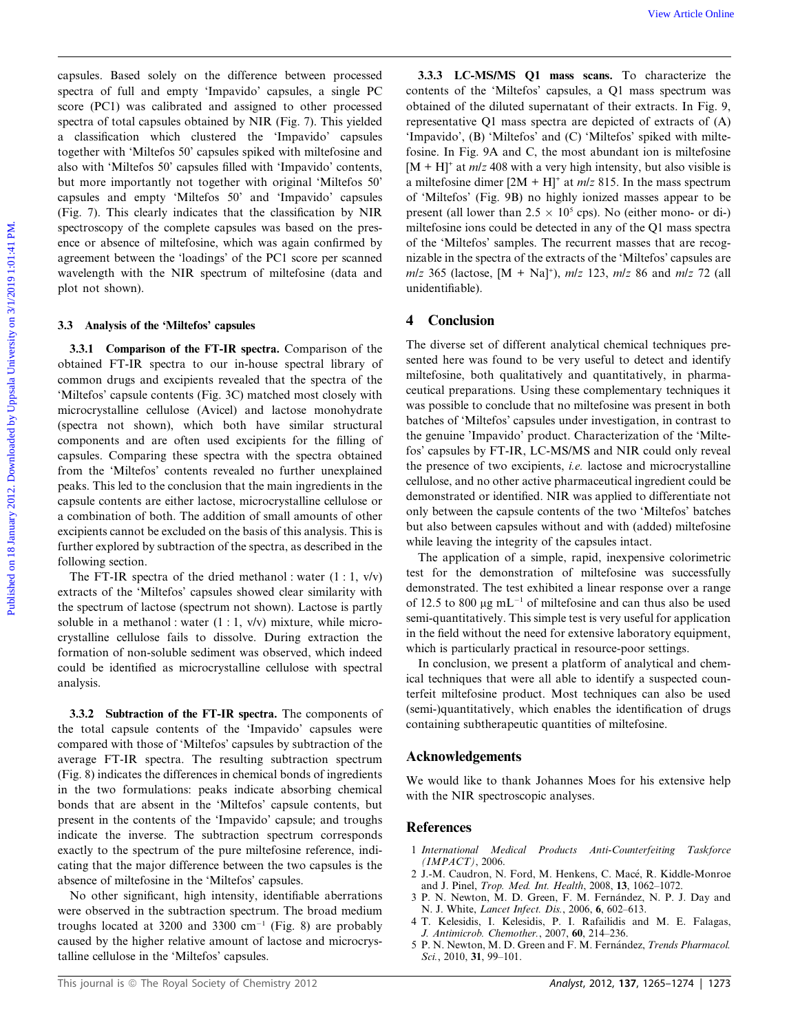capsules. Based solely on the difference between processed spectra of full and empty 'Impavido' capsules, a single PC score (PC1) was calibrated and assigned to other processed spectra of total capsules obtained by NIR (Fig. 7). This yielded a classification which clustered the 'Impavido' capsules together with 'Miltefos 50' capsules spiked with miltefosine and also with 'Miltefos 50' capsules filled with 'Impavido' contents, but more importantly not together with original 'Miltefos 50' capsules and empty 'Miltefos 50' and 'Impavido' capsules (Fig. 7). This clearly indicates that the classification by NIR spectroscopy of the complete capsules was based on the presence or absence of miltefosine, which was again confirmed by agreement between the 'loadings' of the PC1 score per scanned wavelength with the NIR spectrum of miltefosine (data and plot not shown). We wave these consists. Read solely on the difference between processed and 3.1.3. I.CANSONS Q1 mass seams. To church the hypother space and full unit cappet may be precent of the party on the distance of the consistent o

### 3.3 Analysis of the 'Miltefos' capsules

3.3.1 Comparison of the FT-IR spectra. Comparison of the obtained FT-IR spectra to our in-house spectral library of common drugs and excipients revealed that the spectra of the 'Miltefos' capsule contents (Fig. 3C) matched most closely with microcrystalline cellulose (Avicel) and lactose monohydrate (spectra not shown), which both have similar structural components and are often used excipients for the filling of capsules. Comparing these spectra with the spectra obtained from the 'Miltefos' contents revealed no further unexplained peaks. This led to the conclusion that the main ingredients in the capsule contents are either lactose, microcrystalline cellulose or a combination of both. The addition of small amounts of other excipients cannot be excluded on the basis of this analysis. This is further explored by subtraction of the spectra, as described in the following section.

The FT-IR spectra of the dried methanol : water  $(1:1, v/v)$ extracts of the 'Miltefos' capsules showed clear similarity with the spectrum of lactose (spectrum not shown). Lactose is partly soluble in a methanol : water  $(1:1, v/v)$  mixture, while microcrystalline cellulose fails to dissolve. During extraction the formation of non-soluble sediment was observed, which indeed could be identified as microcrystalline cellulose with spectral analysis.

3.3.2 Subtraction of the FT-IR spectra. The components of the total capsule contents of the 'Impavido' capsules were compared with those of 'Miltefos' capsules by subtraction of the average FT-IR spectra. The resulting subtraction spectrum (Fig. 8) indicates the differences in chemical bonds of ingredients in the two formulations: peaks indicate absorbing chemical bonds that are absent in the 'Miltefos' capsule contents, but present in the contents of the 'Impavido' capsule; and troughs indicate the inverse. The subtraction spectrum corresponds exactly to the spectrum of the pure miltefosine reference, indicating that the major difference between the two capsules is the absence of miltefosine in the 'Miltefos' capsules.

No other significant, high intensity, identifiable aberrations were observed in the subtraction spectrum. The broad medium troughs located at 3200 and 3300  $cm^{-1}$  (Fig. 8) are probably caused by the higher relative amount of lactose and microcrystalline cellulose in the 'Miltefos' capsules.

3.3.3 LC-MS/MS Q1 mass scans. To characterize the contents of the 'Miltefos' capsules, a Q1 mass spectrum was obtained of the diluted supernatant of their extracts. In Fig. 9, representative Q1 mass spectra are depicted of extracts of (A) 'Impavido', (B) 'Miltefos' and (C) 'Miltefos' spiked with miltefosine. In Fig. 9A and C, the most abundant ion is miltefosine  $[M + H]^+$  at *m/z* 408 with a very high intensity, but also visible is a miltefosine dimer  $[2M + H]^+$  at  $m/z$  815. In the mass spectrum of 'Miltefos' (Fig. 9B) no highly ionized masses appear to be present (all lower than  $2.5 \times 10^5$  cps). No (either mono- or di-) miltefosine ions could be detected in any of the Q1 mass spectra of the 'Miltefos' samples. The recurrent masses that are recognizable in the spectra of the extracts of the 'Miltefos' capsules are  $m/z$  365 (lactose,  $[M + Na]^+$ ),  $mlz$  123,  $mlz$  86 and  $mlz$  72 (all unidentifiable).

### 4 Conclusion

The diverse set of different analytical chemical techniques presented here was found to be very useful to detect and identify miltefosine, both qualitatively and quantitatively, in pharmaceutical preparations. Using these complementary techniques it was possible to conclude that no miltefosine was present in both batches of 'Miltefos' capsules under investigation, in contrast to the genuine 'Impavido' product. Characterization of the 'Miltefos' capsules by FT-IR, LC-MS/MS and NIR could only reveal the presence of two excipients, i.e. lactose and microcrystalline cellulose, and no other active pharmaceutical ingredient could be demonstrated or identified. NIR was applied to differentiate not only between the capsule contents of the two 'Miltefos' batches but also between capsules without and with (added) miltefosine while leaving the integrity of the capsules intact.

The application of a simple, rapid, inexpensive colorimetric test for the demonstration of miltefosine was successfully demonstrated. The test exhibited a linear response over a range of 12.5 to 800  $\mu$ g mL<sup>-1</sup> of miltefosine and can thus also be used semi-quantitatively. This simple test is very useful for application in the field without the need for extensive laboratory equipment, which is particularly practical in resource-poor settings.

In conclusion, we present a platform of analytical and chemical techniques that were all able to identify a suspected counterfeit miltefosine product. Most techniques can also be used (semi-)quantitatively, which enables the identification of drugs containing subtherapeutic quantities of miltefosine.

### Acknowledgements

We would like to thank Johannes Moes for his extensive help with the NIR spectroscopic analyses.

### References

- 1 International Medical Products Anti-Counterfeiting Taskforce  $(IMPACT)$ , 2006.
- 2 J.-M. Caudron, N. Ford, M. Henkens, C. Macé, R. Kiddle-Monroe and J. Pinel, Trop. Med. Int. Health, 2008, 13, 1062–1072.
- 3 P. N. Newton, M. D. Green, F. M. Fernández, N. P. J. Day and N. J. White, Lancet Infect. Dis., 2006, 6, 602–613.
- 4 T. Kelesidis, I. Kelesidis, P. I. Rafailidis and M. E. Falagas, J. Antimicrob. Chemother., 2007, 60, 214–236.
- 5 P. N. Newton, M. D. Green and F. M. Fernández, Trends Pharmacol. Sci., 2010, 31, 99-101.